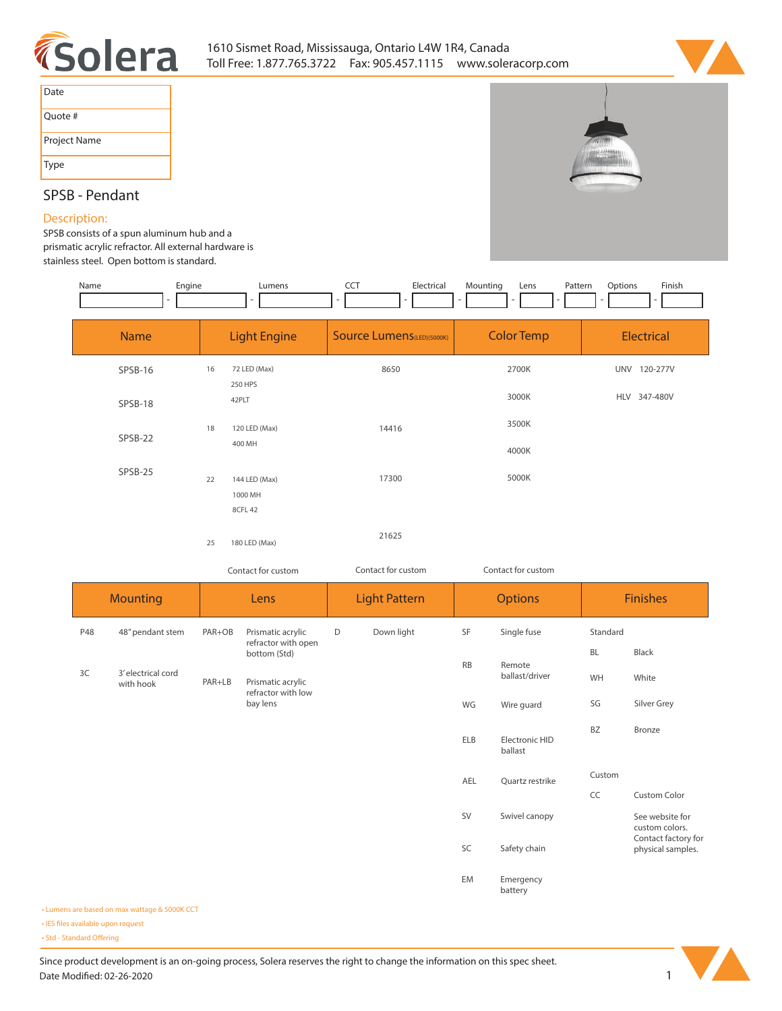



| Date         |
|--------------|
| Quote #      |
| Project Name |
| Type         |

# **SPSB - Pendant**

## **Description:**

**SPSB consists of a spun aluminum hub and a prismatic acrylic refractor. All external hardware is stainless steel. Open bottom is standard.** 

| Engine<br>Name | Lumens<br>$\overline{\phantom{a}}$ | <b>CCT</b><br>Electrical          | Mounting<br>Pattern<br>Lens<br>$\sim$ | Finish<br>Options<br>$\overline{\phantom{a}}$ |
|----------------|------------------------------------|-----------------------------------|---------------------------------------|-----------------------------------------------|
| <b>Name</b>    | <b>Light Engine</b>                | <b>Source Lumens</b> (LED)(5000K) | <b>Color Temp</b>                     | Electrical                                    |
| SPSB-16        | 72 LED (Max)<br>16<br>250 HPS      | 8650                              | 2700K                                 | 120-277V<br><b>UNV</b>                        |
| SPSB-18        | 42PLT                              |                                   | 3000K                                 | 347-480V<br><b>HLV</b>                        |
| $CDCD-22$      | 120 LED (Max)<br>18                | 14416                             | 3500K                                 |                                               |

| SPSB-22 |    | 400 MH             |       | 4000K |
|---------|----|--------------------|-------|-------|
| SPSB-25 | 22 | 144 LED (Max)      | 17300 | 5000K |
|         |    | 1000 MH<br>8CFL 42 |       |       |
|         | 25 | 180 LED (Max)      | 21625 |       |

*Contact for custom Contact for custom*

*Contact for custom*

|     | <b>Mounting</b>                 |        | Lens                                     |   | <b>Light Pattern</b> |            | <b>Options</b>                         |           | <b>Finishes</b>                          |
|-----|---------------------------------|--------|------------------------------------------|---|----------------------|------------|----------------------------------------|-----------|------------------------------------------|
| P48 | 48" pendant stem                | PAR+OB | Prismatic acrylic<br>refractor with open | D | Down light           | SF         | Single fuse                            | Standard  |                                          |
|     |                                 |        | bottom (Std)                             |   |                      | RB         |                                        | <b>BL</b> | Black                                    |
| 3C  | 3' electrical cord<br>with hook | PAR+LB | Prismatic acrylic<br>refractor with low  |   |                      |            | Remote<br>ballast/driver<br>Wire guard | WH        | White                                    |
|     |                                 |        | bay lens                                 |   |                      | WG         |                                        | SG        | Silver Grey                              |
|     |                                 |        |                                          |   |                      | <b>ELB</b> | Electronic HID<br>ballast              | <b>BZ</b> | Bronze                                   |
|     |                                 |        |                                          |   |                      | AEL        | Quartz restrike                        | Custom    |                                          |
|     |                                 |        |                                          |   |                      |            |                                        | CC        | Custom Color                             |
|     |                                 |        |                                          |   |                      | SV         | Swivel canopy                          |           | See website for<br>custom colors.        |
|     |                                 |        |                                          |   |                      | SC         | Safety chain                           |           | Contact factory for<br>physical samples. |
|     |                                 |        |                                          |   |                      | EM         | Emergency<br>battery                   |           |                                          |

**• Lumens are based on max wattage & 5000K CCT**

**• IES files available upon request** 

• Std - Standard Offering

Since product development is an on-going process, Solera reserves the right to change the information on this spec sheet. **Date Modified: 02-26-2020** 1